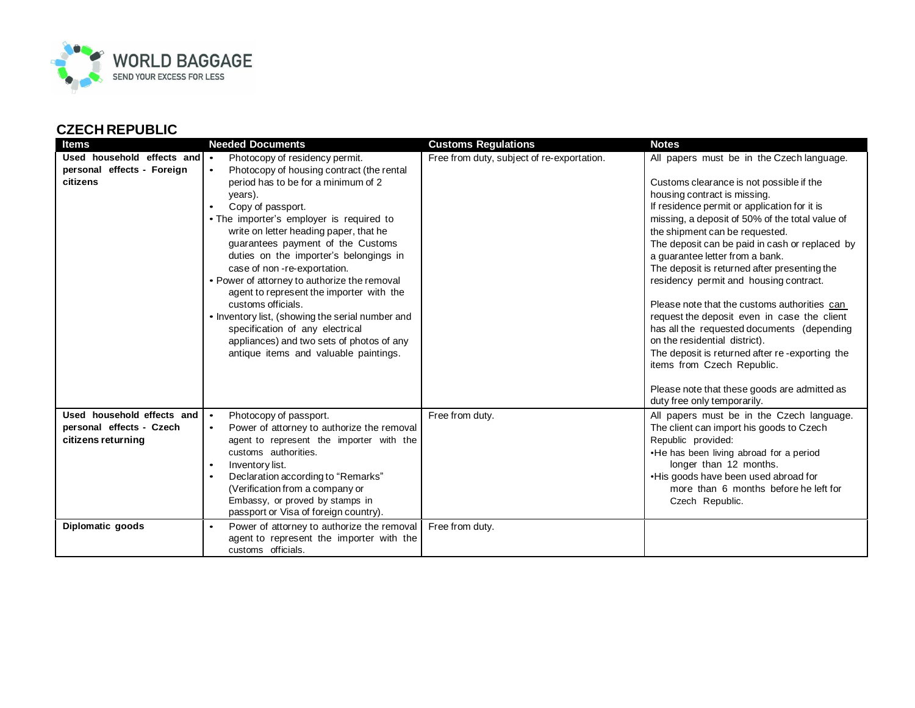

## **CZECH REPUBLIC**

| <b>Items</b>                                                           | <b>Needed Documents</b>                                                                                                                                                                                                                                                                                                                                                                                                                                                                                                                                                                                                                                                         | <b>Customs Regulations</b>                 | <b>Notes</b>                                                                                                                                                                                                                                                                                                                                                                                                                                                                                                                                                                                                                                                                                                                                                                           |
|------------------------------------------------------------------------|---------------------------------------------------------------------------------------------------------------------------------------------------------------------------------------------------------------------------------------------------------------------------------------------------------------------------------------------------------------------------------------------------------------------------------------------------------------------------------------------------------------------------------------------------------------------------------------------------------------------------------------------------------------------------------|--------------------------------------------|----------------------------------------------------------------------------------------------------------------------------------------------------------------------------------------------------------------------------------------------------------------------------------------------------------------------------------------------------------------------------------------------------------------------------------------------------------------------------------------------------------------------------------------------------------------------------------------------------------------------------------------------------------------------------------------------------------------------------------------------------------------------------------------|
| Used household effects and •<br>personal effects - Foreign<br>citizens | Photocopy of residency permit.<br>Photocopy of housing contract (the rental<br>$\bullet$<br>period has to be for a minimum of 2<br>years).<br>Copy of passport.<br>$\bullet$<br>• The importer's employer is required to<br>write on letter heading paper, that he<br>guarantees payment of the Customs<br>duties on the importer's belongings in<br>case of non-re-exportation.<br>• Power of attorney to authorize the removal<br>agent to represent the importer with the<br>customs officials.<br>• Inventory list, (showing the serial number and<br>specification of any electrical<br>appliances) and two sets of photos of any<br>antique items and valuable paintings. | Free from duty, subject of re-exportation. | All papers must be in the Czech language.<br>Customs clearance is not possible if the<br>housing contract is missing.<br>If residence permit or application for it is<br>missing, a deposit of 50% of the total value of<br>the shipment can be requested.<br>The deposit can be paid in cash or replaced by<br>a guarantee letter from a bank.<br>The deposit is returned after presenting the<br>residency permit and housing contract.<br>Please note that the customs authorities can<br>request the deposit even in case the client<br>has all the requested documents (depending<br>on the residential district).<br>The deposit is returned after re-exporting the<br>items from Czech Republic.<br>Please note that these goods are admitted as<br>duty free only temporarily. |
| Used household effects and                                             | Photocopy of passport.<br>∣.                                                                                                                                                                                                                                                                                                                                                                                                                                                                                                                                                                                                                                                    | Free from duty.                            | All papers must be in the Czech language.                                                                                                                                                                                                                                                                                                                                                                                                                                                                                                                                                                                                                                                                                                                                              |
| personal effects - Czech                                               | Power of attorney to authorize the removal<br>$\bullet$                                                                                                                                                                                                                                                                                                                                                                                                                                                                                                                                                                                                                         |                                            | The client can import his goods to Czech                                                                                                                                                                                                                                                                                                                                                                                                                                                                                                                                                                                                                                                                                                                                               |
| citizens returning                                                     | agent to represent the importer with the<br>customs authorities.                                                                                                                                                                                                                                                                                                                                                                                                                                                                                                                                                                                                                |                                            | Republic provided:<br>•He has been living abroad for a period                                                                                                                                                                                                                                                                                                                                                                                                                                                                                                                                                                                                                                                                                                                          |
|                                                                        | Inventory list.<br>$\bullet$                                                                                                                                                                                                                                                                                                                                                                                                                                                                                                                                                                                                                                                    |                                            | longer than 12 months.                                                                                                                                                                                                                                                                                                                                                                                                                                                                                                                                                                                                                                                                                                                                                                 |
|                                                                        | Declaration according to "Remarks"<br>$\bullet$                                                                                                                                                                                                                                                                                                                                                                                                                                                                                                                                                                                                                                 |                                            | •His goods have been used abroad for                                                                                                                                                                                                                                                                                                                                                                                                                                                                                                                                                                                                                                                                                                                                                   |
|                                                                        | (Verification from a company or                                                                                                                                                                                                                                                                                                                                                                                                                                                                                                                                                                                                                                                 |                                            | more than 6 months before he left for                                                                                                                                                                                                                                                                                                                                                                                                                                                                                                                                                                                                                                                                                                                                                  |
|                                                                        | Embassy, or proved by stamps in<br>passport or Visa of foreign country).                                                                                                                                                                                                                                                                                                                                                                                                                                                                                                                                                                                                        |                                            | Czech Republic.                                                                                                                                                                                                                                                                                                                                                                                                                                                                                                                                                                                                                                                                                                                                                                        |
| Diplomatic goods                                                       | Power of attorney to authorize the removal<br>$\bullet$<br>agent to represent the importer with the<br>customs officials.                                                                                                                                                                                                                                                                                                                                                                                                                                                                                                                                                       | Free from duty.                            |                                                                                                                                                                                                                                                                                                                                                                                                                                                                                                                                                                                                                                                                                                                                                                                        |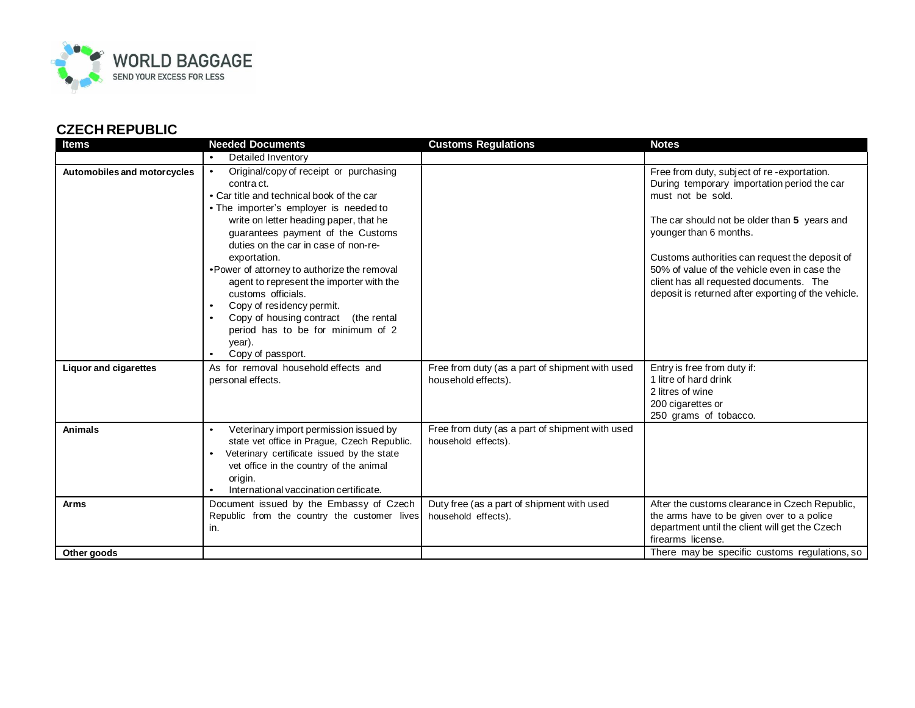

## **CZECH REPUBLIC**

| <b>Items</b>                 | <b>Needed Documents</b>                                                                                                                                                                                                                                                                                                                                                                                                                                                                                                                                    | <b>Customs Regulations</b>                                             | <b>Notes</b>                                                                                                                                                                                                                                                                                                                                                                                 |
|------------------------------|------------------------------------------------------------------------------------------------------------------------------------------------------------------------------------------------------------------------------------------------------------------------------------------------------------------------------------------------------------------------------------------------------------------------------------------------------------------------------------------------------------------------------------------------------------|------------------------------------------------------------------------|----------------------------------------------------------------------------------------------------------------------------------------------------------------------------------------------------------------------------------------------------------------------------------------------------------------------------------------------------------------------------------------------|
|                              | Detailed Inventory                                                                                                                                                                                                                                                                                                                                                                                                                                                                                                                                         |                                                                        |                                                                                                                                                                                                                                                                                                                                                                                              |
| Automobiles and motorcycles  | Original/copy of receipt or purchasing<br>$\bullet$<br>contra ct.<br>• Car title and technical book of the car<br>• The importer's employer is needed to<br>write on letter heading paper, that he<br>quarantees payment of the Customs<br>duties on the car in case of non-re-<br>exportation.<br>• Power of attorney to authorize the removal<br>agent to represent the importer with the<br>customs officials.<br>Copy of residency permit.<br>Copy of housing contract (the rental<br>period has to be for minimum of 2<br>year).<br>Copy of passport. |                                                                        | Free from duty, subject of re-exportation.<br>During temporary importation period the car<br>must not be sold.<br>The car should not be older than 5 years and<br>younger than 6 months.<br>Customs authorities can request the deposit of<br>50% of value of the vehicle even in case the<br>client has all requested documents. The<br>deposit is returned after exporting of the vehicle. |
| <b>Liquor and cigarettes</b> | As for removal household effects and<br>personal effects.                                                                                                                                                                                                                                                                                                                                                                                                                                                                                                  | Free from duty (as a part of shipment with used<br>household effects). | Entry is free from duty if:<br>1 litre of hard drink<br>2 litres of wine<br>200 cigarettes or<br>250 grams of tobacco.                                                                                                                                                                                                                                                                       |
| <b>Animals</b>               | Veterinary import permission issued by<br>state vet office in Prague, Czech Republic.<br>Veterinary certificate issued by the state<br>vet office in the country of the animal<br>origin.<br>International vaccination certificate.                                                                                                                                                                                                                                                                                                                        | Free from duty (as a part of shipment with used<br>household effects). |                                                                                                                                                                                                                                                                                                                                                                                              |
| <b>Arms</b>                  | Document issued by the Embassy of Czech<br>Republic from the country the customer lives<br>ın.                                                                                                                                                                                                                                                                                                                                                                                                                                                             | Duty free (as a part of shipment with used<br>household effects).      | After the customs clearance in Czech Republic,<br>the arms have to be given over to a police<br>department until the client will get the Czech<br>firearms license.                                                                                                                                                                                                                          |
| Other goods                  |                                                                                                                                                                                                                                                                                                                                                                                                                                                                                                                                                            |                                                                        | There may be specific customs regulations, so                                                                                                                                                                                                                                                                                                                                                |